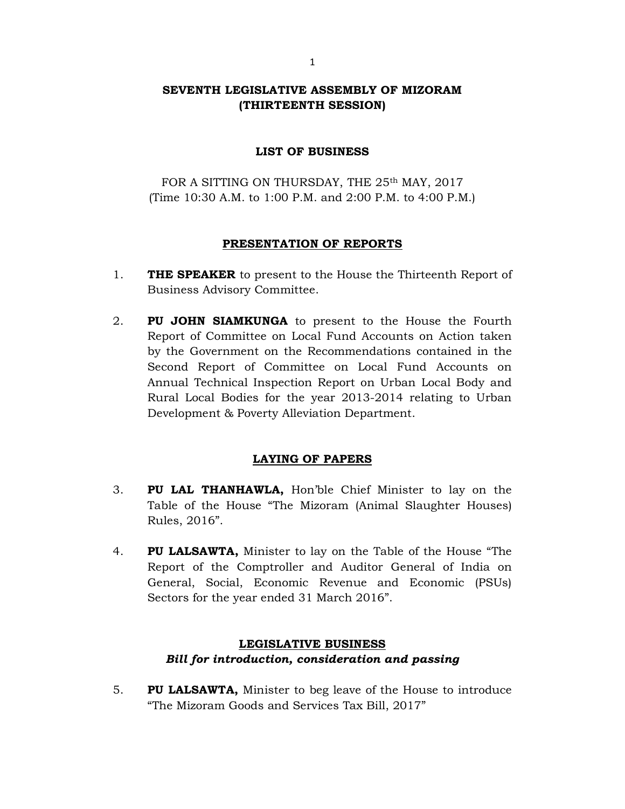# SEVENTH LEGISLATIVE ASSEMBLY OF MIZORAM (THIRTEENTH SESSION)

## LIST OF BUSINESS

FOR A SITTING ON THURSDAY, THE 25<sup>th</sup> MAY, 2017 (Time 10:30 A.M. to 1:00 P.M. and 2:00 P.M. to 4:00 P.M.)

### PRESENTATION OF REPORTS

- 1. THE SPEAKER to present to the House the Thirteenth Report of Business Advisory Committee.
- 2. PU JOHN SIAMKUNGA to present to the House the Fourth Report of Committee on Local Fund Accounts on Action taken by the Government on the Recommendations contained in the Second Report of Committee on Local Fund Accounts on Annual Technical Inspection Report on Urban Local Body and Rural Local Bodies for the year 2013-2014 relating to Urban Development & Poverty Alleviation Department.

# LAYING OF PAPERS

- 3. PU LAL THANHAWLA, Hon'ble Chief Minister to lay on the Table of the House "The Mizoram (Animal Slaughter Houses) Rules, 2016".
- 4. PU LALSAWTA, Minister to lay on the Table of the House "The Report of the Comptroller and Auditor General of India on General, Social, Economic Revenue and Economic (PSUs) Sectors for the year ended 31 March 2016".

# LEGISLATIVE BUSINESS Bill for introduction, consideration and passing

5. PU LALSAWTA, Minister to beg leave of the House to introduce "The Mizoram Goods and Services Tax Bill, 2017"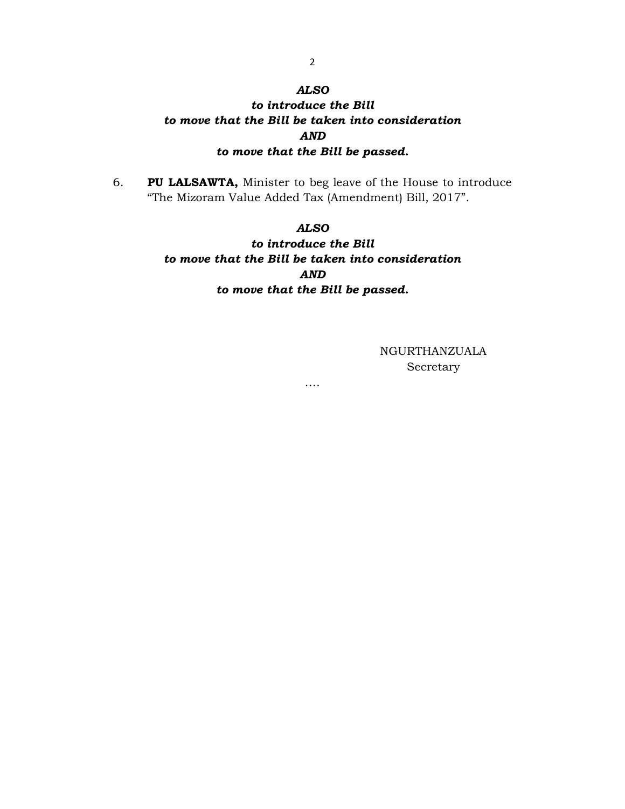### ALSO

# to introduce the Bill to move that the Bill be taken into consideration AND to move that the Bill be passed.

6. PU LALSAWTA, Minister to beg leave of the House to introduce "The Mizoram Value Added Tax (Amendment) Bill, 2017".

### ALSO

to introduce the Bill to move that the Bill be taken into consideration AND to move that the Bill be passed.

….

NGURTHANZUALA Secretary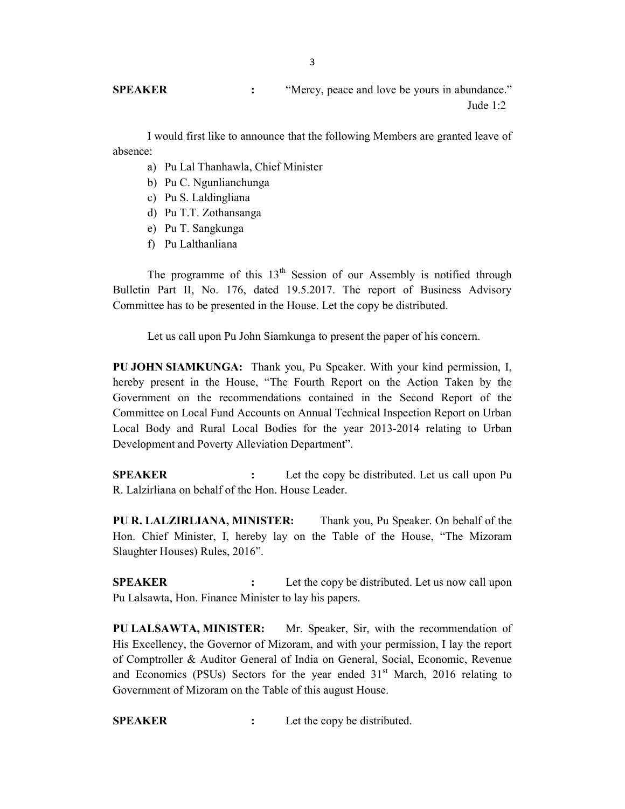SPEAKER : "Mercy, peace and love be yours in abundance." Jude 1:2

 I would first like to announce that the following Members are granted leave of absence:

- a) Pu Lal Thanhawla, Chief Minister
- b) Pu C. Ngunlianchunga
- c) Pu S. Laldingliana
- d) Pu T.T. Zothansanga
- e) Pu T. Sangkunga
- f) Pu Lalthanliana

The programme of this  $13<sup>th</sup>$  Session of our Assembly is notified through Bulletin Part II, No. 176, dated 19.5.2017. The report of Business Advisory Committee has to be presented in the House. Let the copy be distributed.

Let us call upon Pu John Siamkunga to present the paper of his concern.

PU JOHN SIAMKUNGA: Thank you, Pu Speaker. With your kind permission, I, hereby present in the House, "The Fourth Report on the Action Taken by the Government on the recommendations contained in the Second Report of the Committee on Local Fund Accounts on Annual Technical Inspection Report on Urban Local Body and Rural Local Bodies for the year 2013-2014 relating to Urban Development and Poverty Alleviation Department".

**SPEAKER** : Let the copy be distributed. Let us call upon Pu R. Lalzirliana on behalf of the Hon. House Leader.

PU R. LALZIRLIANA, MINISTER: Thank you, Pu Speaker. On behalf of the Hon. Chief Minister, I, hereby lay on the Table of the House, "The Mizoram Slaughter Houses) Rules, 2016".

**SPEAKER** : Let the copy be distributed. Let us now call upon Pu Lalsawta, Hon. Finance Minister to lay his papers.

PU LALSAWTA, MINISTER: Mr. Speaker, Sir, with the recommendation of His Excellency, the Governor of Mizoram, and with your permission, I lay the report of Comptroller & Auditor General of India on General, Social, Economic, Revenue and Economics (PSUs) Sectors for the year ended  $31<sup>st</sup>$  March, 2016 relating to Government of Mizoram on the Table of this august House.

SPEAKER : Let the copy be distributed.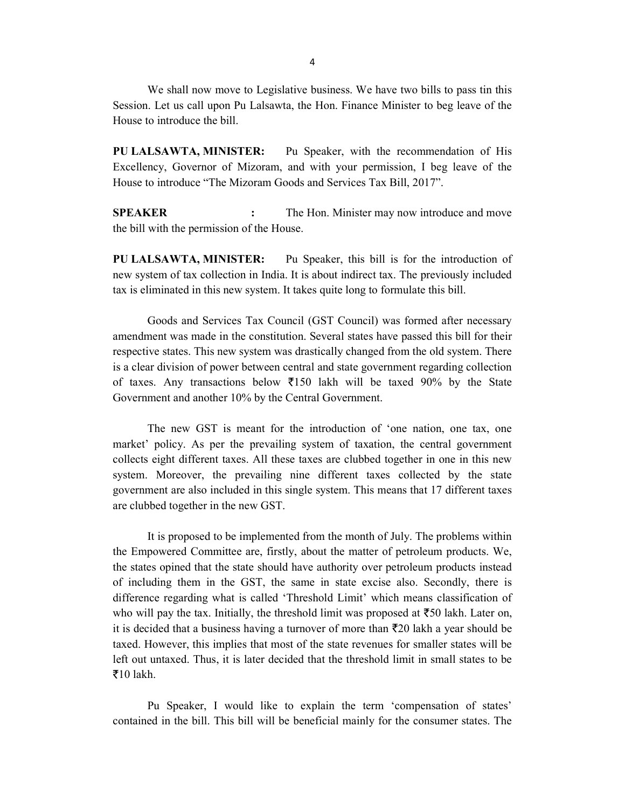We shall now move to Legislative business. We have two bills to pass tin this Session. Let us call upon Pu Lalsawta, the Hon. Finance Minister to beg leave of the House to introduce the bill.

PU LALSAWTA, MINISTER: Pu Speaker, with the recommendation of His Excellency, Governor of Mizoram, and with your permission, I beg leave of the House to introduce "The Mizoram Goods and Services Tax Bill, 2017".

SPEAKER : The Hon. Minister may now introduce and move the bill with the permission of the House.

PU LALSAWTA, MINISTER: Pu Speaker, this bill is for the introduction of new system of tax collection in India. It is about indirect tax. The previously included tax is eliminated in this new system. It takes quite long to formulate this bill.

 Goods and Services Tax Council (GST Council) was formed after necessary amendment was made in the constitution. Several states have passed this bill for their respective states. This new system was drastically changed from the old system. There is a clear division of power between central and state government regarding collection of taxes. Any transactions below  $\overline{5}150$  lakh will be taxed 90% by the State Government and another 10% by the Central Government.

 The new GST is meant for the introduction of 'one nation, one tax, one market' policy. As per the prevailing system of taxation, the central government collects eight different taxes. All these taxes are clubbed together in one in this new system. Moreover, the prevailing nine different taxes collected by the state government are also included in this single system. This means that 17 different taxes are clubbed together in the new GST.

 It is proposed to be implemented from the month of July. The problems within the Empowered Committee are, firstly, about the matter of petroleum products. We, the states opined that the state should have authority over petroleum products instead of including them in the GST, the same in state excise also. Secondly, there is difference regarding what is called 'Threshold Limit' which means classification of who will pay the tax. Initially, the threshold limit was proposed at  $\bar{z}50$  lakh. Later on, it is decided that a business having a turnover of more than  $\bar{\tau}$ 20 lakh a year should be taxed. However, this implies that most of the state revenues for smaller states will be left out untaxed. Thus, it is later decided that the threshold limit in small states to be  $\overline{\xi}$ 10 lakh.

 Pu Speaker, I would like to explain the term 'compensation of states' contained in the bill. This bill will be beneficial mainly for the consumer states. The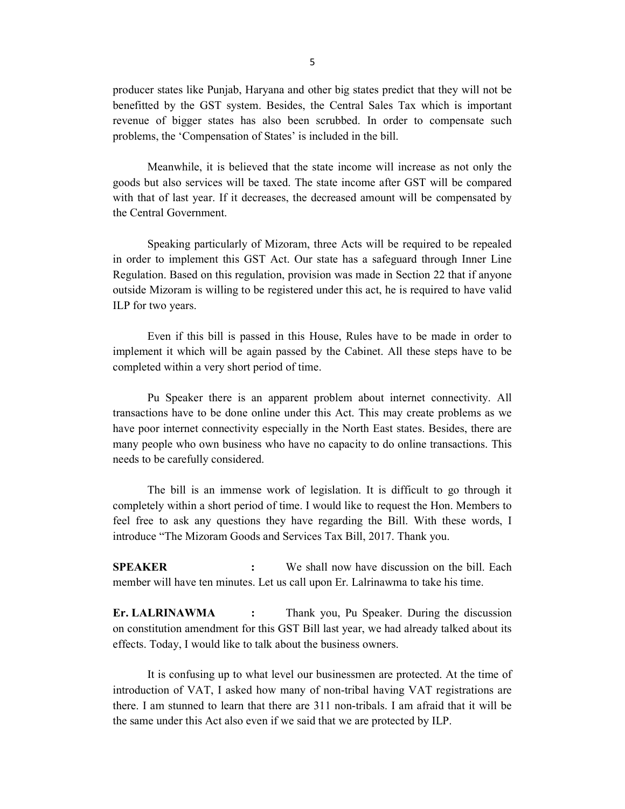producer states like Punjab, Haryana and other big states predict that they will not be benefitted by the GST system. Besides, the Central Sales Tax which is important revenue of bigger states has also been scrubbed. In order to compensate such problems, the 'Compensation of States' is included in the bill.

 Meanwhile, it is believed that the state income will increase as not only the goods but also services will be taxed. The state income after GST will be compared with that of last year. If it decreases, the decreased amount will be compensated by the Central Government.

 Speaking particularly of Mizoram, three Acts will be required to be repealed in order to implement this GST Act. Our state has a safeguard through Inner Line Regulation. Based on this regulation, provision was made in Section 22 that if anyone outside Mizoram is willing to be registered under this act, he is required to have valid ILP for two years.

 Even if this bill is passed in this House, Rules have to be made in order to implement it which will be again passed by the Cabinet. All these steps have to be completed within a very short period of time.

 Pu Speaker there is an apparent problem about internet connectivity. All transactions have to be done online under this Act. This may create problems as we have poor internet connectivity especially in the North East states. Besides, there are many people who own business who have no capacity to do online transactions. This needs to be carefully considered.

 The bill is an immense work of legislation. It is difficult to go through it completely within a short period of time. I would like to request the Hon. Members to feel free to ask any questions they have regarding the Bill. With these words, I introduce "The Mizoram Goods and Services Tax Bill, 2017. Thank you.

**SPEAKER** : We shall now have discussion on the bill. Each member will have ten minutes. Let us call upon Er. Lalrinawma to take his time.

Er. LALRINAWMA : Thank you, Pu Speaker. During the discussion on constitution amendment for this GST Bill last year, we had already talked about its effects. Today, I would like to talk about the business owners.

 It is confusing up to what level our businessmen are protected. At the time of introduction of VAT, I asked how many of non-tribal having VAT registrations are there. I am stunned to learn that there are 311 non-tribals. I am afraid that it will be the same under this Act also even if we said that we are protected by ILP.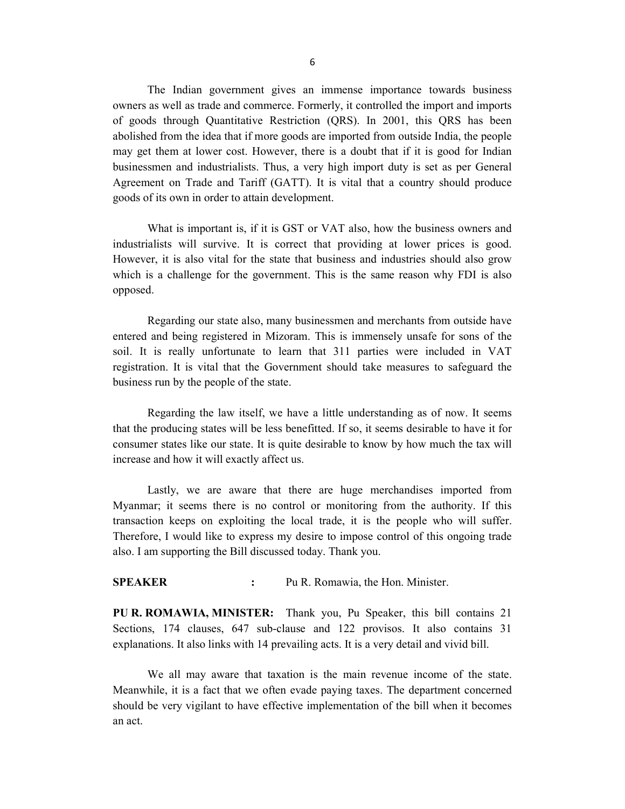The Indian government gives an immense importance towards business owners as well as trade and commerce. Formerly, it controlled the import and imports of goods through Quantitative Restriction (QRS). In 2001, this QRS has been abolished from the idea that if more goods are imported from outside India, the people may get them at lower cost. However, there is a doubt that if it is good for Indian businessmen and industrialists. Thus, a very high import duty is set as per General Agreement on Trade and Tariff (GATT). It is vital that a country should produce goods of its own in order to attain development.

 What is important is, if it is GST or VAT also, how the business owners and industrialists will survive. It is correct that providing at lower prices is good. However, it is also vital for the state that business and industries should also grow which is a challenge for the government. This is the same reason why FDI is also opposed.

 Regarding our state also, many businessmen and merchants from outside have entered and being registered in Mizoram. This is immensely unsafe for sons of the soil. It is really unfortunate to learn that 311 parties were included in VAT registration. It is vital that the Government should take measures to safeguard the business run by the people of the state.

 Regarding the law itself, we have a little understanding as of now. It seems that the producing states will be less benefitted. If so, it seems desirable to have it for consumer states like our state. It is quite desirable to know by how much the tax will increase and how it will exactly affect us.

 Lastly, we are aware that there are huge merchandises imported from Myanmar; it seems there is no control or monitoring from the authority. If this transaction keeps on exploiting the local trade, it is the people who will suffer. Therefore, I would like to express my desire to impose control of this ongoing trade also. I am supporting the Bill discussed today. Thank you.

SPEAKER : Pu R. Romawia, the Hon. Minister.

PU R. ROMAWIA, MINISTER: Thank you, Pu Speaker, this bill contains 21 Sections, 174 clauses, 647 sub-clause and 122 provisos. It also contains 31 explanations. It also links with 14 prevailing acts. It is a very detail and vivid bill.

 We all may aware that taxation is the main revenue income of the state. Meanwhile, it is a fact that we often evade paying taxes. The department concerned should be very vigilant to have effective implementation of the bill when it becomes an act.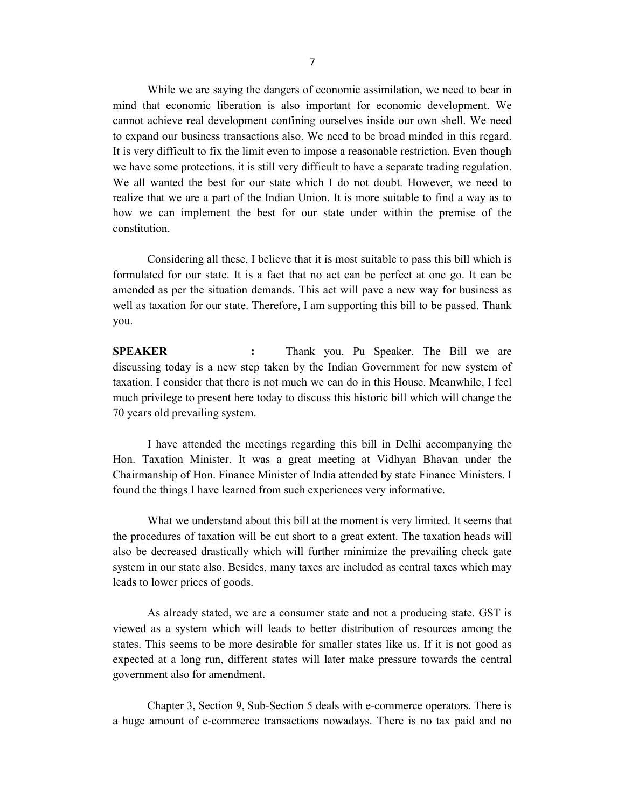While we are saying the dangers of economic assimilation, we need to bear in mind that economic liberation is also important for economic development. We cannot achieve real development confining ourselves inside our own shell. We need to expand our business transactions also. We need to be broad minded in this regard. It is very difficult to fix the limit even to impose a reasonable restriction. Even though we have some protections, it is still very difficult to have a separate trading regulation. We all wanted the best for our state which I do not doubt. However, we need to realize that we are a part of the Indian Union. It is more suitable to find a way as to how we can implement the best for our state under within the premise of the constitution.

 Considering all these, I believe that it is most suitable to pass this bill which is formulated for our state. It is a fact that no act can be perfect at one go. It can be amended as per the situation demands. This act will pave a new way for business as well as taxation for our state. Therefore, I am supporting this bill to be passed. Thank you.

SPEAKER : Thank you, Pu Speaker. The Bill we are discussing today is a new step taken by the Indian Government for new system of taxation. I consider that there is not much we can do in this House. Meanwhile, I feel much privilege to present here today to discuss this historic bill which will change the 70 years old prevailing system.

 I have attended the meetings regarding this bill in Delhi accompanying the Hon. Taxation Minister. It was a great meeting at Vidhyan Bhavan under the Chairmanship of Hon. Finance Minister of India attended by state Finance Ministers. I found the things I have learned from such experiences very informative.

 What we understand about this bill at the moment is very limited. It seems that the procedures of taxation will be cut short to a great extent. The taxation heads will also be decreased drastically which will further minimize the prevailing check gate system in our state also. Besides, many taxes are included as central taxes which may leads to lower prices of goods.

 As already stated, we are a consumer state and not a producing state. GST is viewed as a system which will leads to better distribution of resources among the states. This seems to be more desirable for smaller states like us. If it is not good as expected at a long run, different states will later make pressure towards the central government also for amendment.

 Chapter 3, Section 9, Sub-Section 5 deals with e-commerce operators. There is a huge amount of e-commerce transactions nowadays. There is no tax paid and no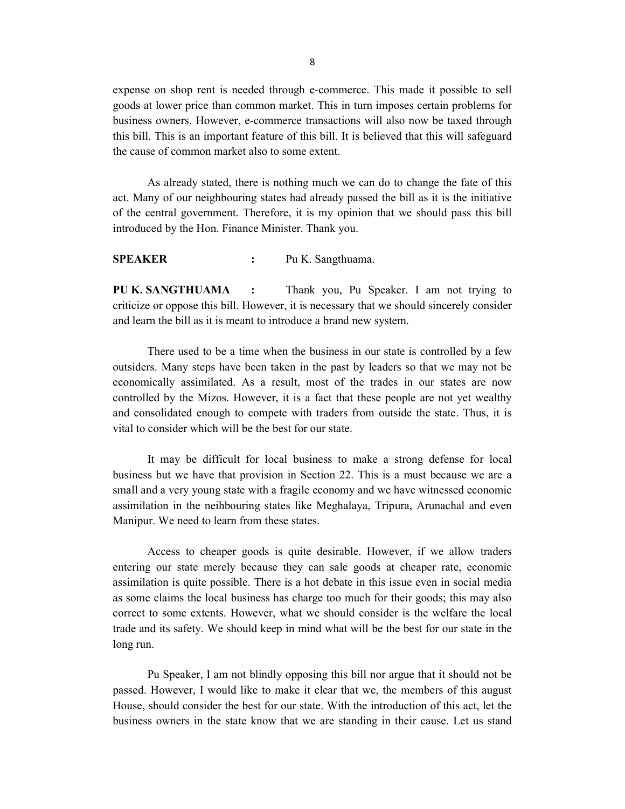expense on shop rent is needed through e-commerce. This made it possible to sell goods at lower price than common market. This in turn imposes certain problems for business owners. However, e-commerce transactions will also now be taxed through this bill. This is an important feature of this bill. It is believed that this will safeguard the cause of common market also to some extent.

 As already stated, there is nothing much we can do to change the fate of this act. Many of our neighbouring states had already passed the bill as it is the initiative of the central government. Therefore, it is my opinion that we should pass this bill introduced by the Hon. Finance Minister. Thank you.

SPEAKER : Pu K. Sangthuama.

PU K. SANGTHUAMA : Thank you, Pu Speaker. I am not trying to criticize or oppose this bill. However, it is necessary that we should sincerely consider and learn the bill as it is meant to introduce a brand new system.

 There used to be a time when the business in our state is controlled by a few outsiders. Many steps have been taken in the past by leaders so that we may not be economically assimilated. As a result, most of the trades in our states are now controlled by the Mizos. However, it is a fact that these people are not yet wealthy and consolidated enough to compete with traders from outside the state. Thus, it is vital to consider which will be the best for our state.

 It may be difficult for local business to make a strong defense for local business but we have that provision in Section 22. This is a must because we are a small and a very young state with a fragile economy and we have witnessed economic assimilation in the neihbouring states like Meghalaya, Tripura, Arunachal and even Manipur. We need to learn from these states.

 Access to cheaper goods is quite desirable. However, if we allow traders entering our state merely because they can sale goods at cheaper rate, economic assimilation is quite possible. There is a hot debate in this issue even in social media as some claims the local business has charge too much for their goods; this may also correct to some extents. However, what we should consider is the welfare the local trade and its safety. We should keep in mind what will be the best for our state in the long run.

 Pu Speaker, I am not blindly opposing this bill nor argue that it should not be passed. However, I would like to make it clear that we, the members of this august House, should consider the best for our state. With the introduction of this act, let the business owners in the state know that we are standing in their cause. Let us stand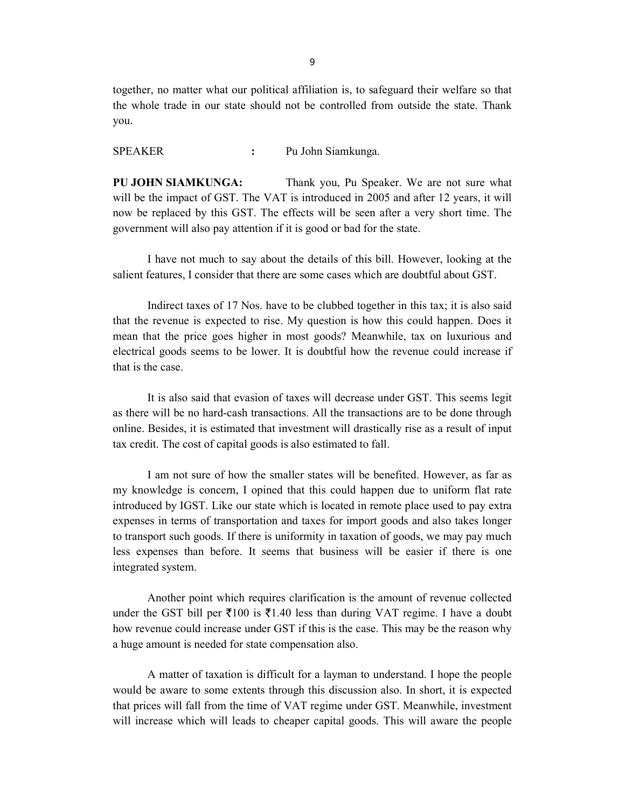together, no matter what our political affiliation is, to safeguard their welfare so that the whole trade in our state should not be controlled from outside the state. Thank you.

SPEAKER : Pu John Siamkunga.

PU JOHN SIAMKUNGA: Thank you, Pu Speaker. We are not sure what will be the impact of GST. The VAT is introduced in 2005 and after 12 years, it will now be replaced by this GST. The effects will be seen after a very short time. The government will also pay attention if it is good or bad for the state.

 I have not much to say about the details of this bill. However, looking at the salient features, I consider that there are some cases which are doubtful about GST.

 Indirect taxes of 17 Nos. have to be clubbed together in this tax; it is also said that the revenue is expected to rise. My question is how this could happen. Does it mean that the price goes higher in most goods? Meanwhile, tax on luxurious and electrical goods seems to be lower. It is doubtful how the revenue could increase if that is the case.

 It is also said that evasion of taxes will decrease under GST. This seems legit as there will be no hard-cash transactions. All the transactions are to be done through online. Besides, it is estimated that investment will drastically rise as a result of input tax credit. The cost of capital goods is also estimated to fall.

 I am not sure of how the smaller states will be benefited. However, as far as my knowledge is concern, I opined that this could happen due to uniform flat rate introduced by IGST. Like our state which is located in remote place used to pay extra expenses in terms of transportation and taxes for import goods and also takes longer to transport such goods. If there is uniformity in taxation of goods, we may pay much less expenses than before. It seems that business will be easier if there is one integrated system.

 Another point which requires clarification is the amount of revenue collected under the GST bill per  $\bar{\xi}$ 100 is  $\bar{\xi}$ 1.40 less than during VAT regime. I have a doubt how revenue could increase under GST if this is the case. This may be the reason why a huge amount is needed for state compensation also.

 A matter of taxation is difficult for a layman to understand. I hope the people would be aware to some extents through this discussion also. In short, it is expected that prices will fall from the time of VAT regime under GST. Meanwhile, investment will increase which will leads to cheaper capital goods. This will aware the people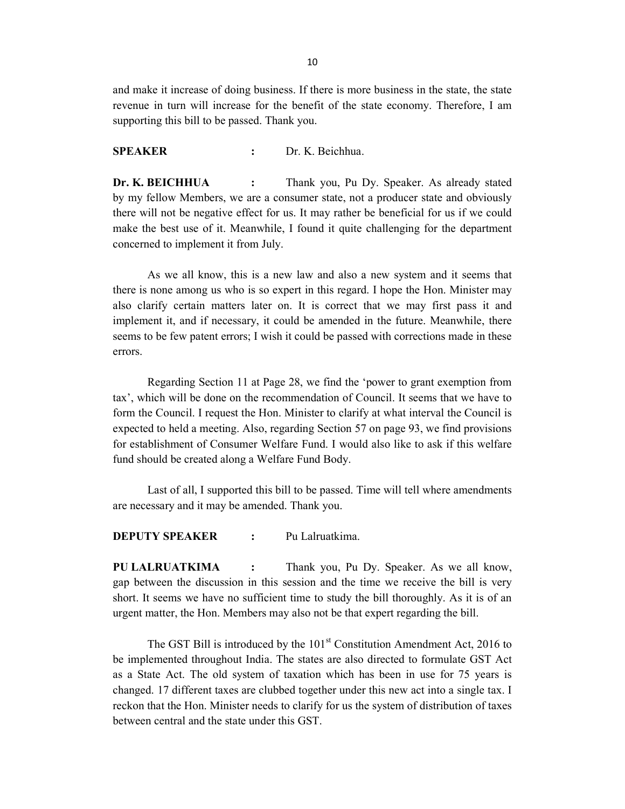and make it increase of doing business. If there is more business in the state, the state revenue in turn will increase for the benefit of the state economy. Therefore, I am supporting this bill to be passed. Thank you.

### SPEAKER : Dr. K. Beichhua.

Dr. K. BEICHHUA : Thank you, Pu Dy. Speaker. As already stated by my fellow Members, we are a consumer state, not a producer state and obviously there will not be negative effect for us. It may rather be beneficial for us if we could make the best use of it. Meanwhile, I found it quite challenging for the department concerned to implement it from July.

 As we all know, this is a new law and also a new system and it seems that there is none among us who is so expert in this regard. I hope the Hon. Minister may also clarify certain matters later on. It is correct that we may first pass it and implement it, and if necessary, it could be amended in the future. Meanwhile, there seems to be few patent errors; I wish it could be passed with corrections made in these errors.

 Regarding Section 11 at Page 28, we find the 'power to grant exemption from tax', which will be done on the recommendation of Council. It seems that we have to form the Council. I request the Hon. Minister to clarify at what interval the Council is expected to held a meeting. Also, regarding Section 57 on page 93, we find provisions for establishment of Consumer Welfare Fund. I would also like to ask if this welfare fund should be created along a Welfare Fund Body.

 Last of all, I supported this bill to be passed. Time will tell where amendments are necessary and it may be amended. Thank you.

#### DEPUTY SPEAKER : Pu Lalruatkima.

PU LALRUATKIMA : Thank you, Pu Dy. Speaker. As we all know, gap between the discussion in this session and the time we receive the bill is very short. It seems we have no sufficient time to study the bill thoroughly. As it is of an urgent matter, the Hon. Members may also not be that expert regarding the bill.

The GST Bill is introduced by the  $101<sup>st</sup>$  Constitution Amendment Act, 2016 to be implemented throughout India. The states are also directed to formulate GST Act as a State Act. The old system of taxation which has been in use for 75 years is changed. 17 different taxes are clubbed together under this new act into a single tax. I reckon that the Hon. Minister needs to clarify for us the system of distribution of taxes between central and the state under this GST.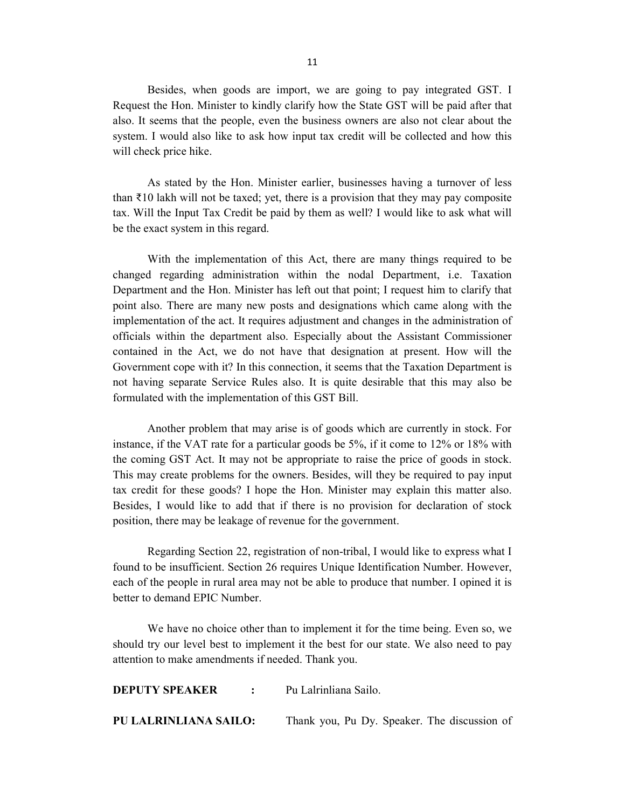Besides, when goods are import, we are going to pay integrated GST. I Request the Hon. Minister to kindly clarify how the State GST will be paid after that also. It seems that the people, even the business owners are also not clear about the system. I would also like to ask how input tax credit will be collected and how this will check price hike.

 As stated by the Hon. Minister earlier, businesses having a turnover of less than  $\bar{\tau}$ 10 lakh will not be taxed; yet, there is a provision that they may pay composite tax. Will the Input Tax Credit be paid by them as well? I would like to ask what will be the exact system in this regard.

 With the implementation of this Act, there are many things required to be changed regarding administration within the nodal Department, i.e. Taxation Department and the Hon. Minister has left out that point; I request him to clarify that point also. There are many new posts and designations which came along with the implementation of the act. It requires adjustment and changes in the administration of officials within the department also. Especially about the Assistant Commissioner contained in the Act, we do not have that designation at present. How will the Government cope with it? In this connection, it seems that the Taxation Department is not having separate Service Rules also. It is quite desirable that this may also be formulated with the implementation of this GST Bill.

 Another problem that may arise is of goods which are currently in stock. For instance, if the VAT rate for a particular goods be 5%, if it come to 12% or 18% with the coming GST Act. It may not be appropriate to raise the price of goods in stock. This may create problems for the owners. Besides, will they be required to pay input tax credit for these goods? I hope the Hon. Minister may explain this matter also. Besides, I would like to add that if there is no provision for declaration of stock position, there may be leakage of revenue for the government.

 Regarding Section 22, registration of non-tribal, I would like to express what I found to be insufficient. Section 26 requires Unique Identification Number. However, each of the people in rural area may not be able to produce that number. I opined it is better to demand EPIC Number.

 We have no choice other than to implement it for the time being. Even so, we should try our level best to implement it the best for our state. We also need to pay attention to make amendments if needed. Thank you.

| <b>DEPUTY SPEAKER</b>        | $\mathcal{L}$ . The set of $\mathcal{L}$ | - Pu Lalrinliana Sailo.                      |
|------------------------------|------------------------------------------|----------------------------------------------|
| <b>PU LALRINLIANA SAILO:</b> |                                          | Thank you, Pu Dy. Speaker. The discussion of |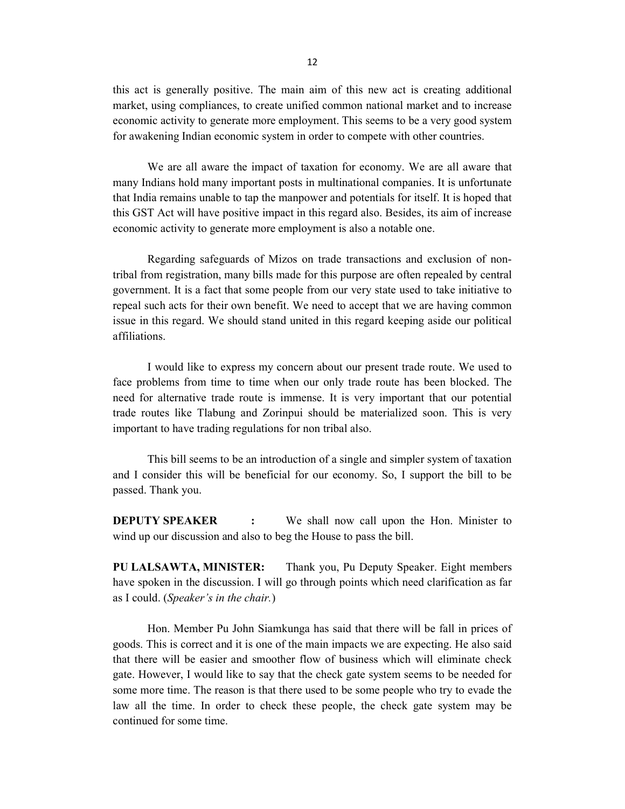this act is generally positive. The main aim of this new act is creating additional market, using compliances, to create unified common national market and to increase economic activity to generate more employment. This seems to be a very good system for awakening Indian economic system in order to compete with other countries.

 We are all aware the impact of taxation for economy. We are all aware that many Indians hold many important posts in multinational companies. It is unfortunate that India remains unable to tap the manpower and potentials for itself. It is hoped that this GST Act will have positive impact in this regard also. Besides, its aim of increase economic activity to generate more employment is also a notable one.

 Regarding safeguards of Mizos on trade transactions and exclusion of nontribal from registration, many bills made for this purpose are often repealed by central government. It is a fact that some people from our very state used to take initiative to repeal such acts for their own benefit. We need to accept that we are having common issue in this regard. We should stand united in this regard keeping aside our political affiliations.

 I would like to express my concern about our present trade route. We used to face problems from time to time when our only trade route has been blocked. The need for alternative trade route is immense. It is very important that our potential trade routes like Tlabung and Zorinpui should be materialized soon. This is very important to have trading regulations for non tribal also.

 This bill seems to be an introduction of a single and simpler system of taxation and I consider this will be beneficial for our economy. So, I support the bill to be passed. Thank you.

**DEPUTY SPEAKER** : We shall now call upon the Hon. Minister to wind up our discussion and also to beg the House to pass the bill.

PU LALSAWTA, MINISTER: Thank you, Pu Deputy Speaker. Eight members have spoken in the discussion. I will go through points which need clarification as far as I could. (Speaker's in the chair.)

 Hon. Member Pu John Siamkunga has said that there will be fall in prices of goods. This is correct and it is one of the main impacts we are expecting. He also said that there will be easier and smoother flow of business which will eliminate check gate. However, I would like to say that the check gate system seems to be needed for some more time. The reason is that there used to be some people who try to evade the law all the time. In order to check these people, the check gate system may be continued for some time.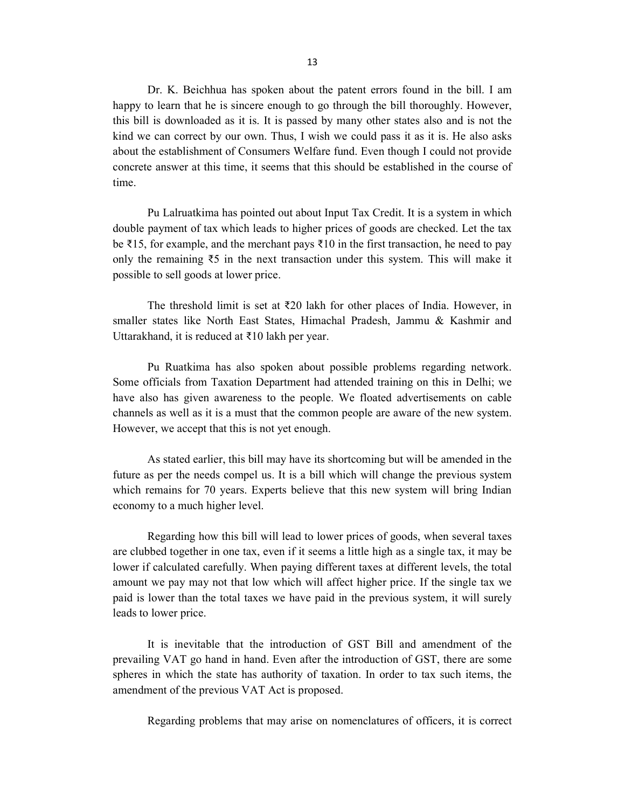Dr. K. Beichhua has spoken about the patent errors found in the bill. I am happy to learn that he is sincere enough to go through the bill thoroughly. However, this bill is downloaded as it is. It is passed by many other states also and is not the kind we can correct by our own. Thus, I wish we could pass it as it is. He also asks about the establishment of Consumers Welfare fund. Even though I could not provide concrete answer at this time, it seems that this should be established in the course of time.

 Pu Lalruatkima has pointed out about Input Tax Credit. It is a system in which double payment of tax which leads to higher prices of goods are checked. Let the tax be ₹15, for example, and the merchant pays ₹10 in the first transaction, he need to pay only the remaining  $\overline{55}$  in the next transaction under this system. This will make it possible to sell goods at lower price.

 The threshold limit is set at ₹20 lakh for other places of India. However, in smaller states like North East States, Himachal Pradesh, Jammu & Kashmir and Uttarakhand, it is reduced at ₹10 lakh per year.

 Pu Ruatkima has also spoken about possible problems regarding network. Some officials from Taxation Department had attended training on this in Delhi; we have also has given awareness to the people. We floated advertisements on cable channels as well as it is a must that the common people are aware of the new system. However, we accept that this is not yet enough.

 As stated earlier, this bill may have its shortcoming but will be amended in the future as per the needs compel us. It is a bill which will change the previous system which remains for 70 years. Experts believe that this new system will bring Indian economy to a much higher level.

 Regarding how this bill will lead to lower prices of goods, when several taxes are clubbed together in one tax, even if it seems a little high as a single tax, it may be lower if calculated carefully. When paying different taxes at different levels, the total amount we pay may not that low which will affect higher price. If the single tax we paid is lower than the total taxes we have paid in the previous system, it will surely leads to lower price.

 It is inevitable that the introduction of GST Bill and amendment of the prevailing VAT go hand in hand. Even after the introduction of GST, there are some spheres in which the state has authority of taxation. In order to tax such items, the amendment of the previous VAT Act is proposed.

Regarding problems that may arise on nomenclatures of officers, it is correct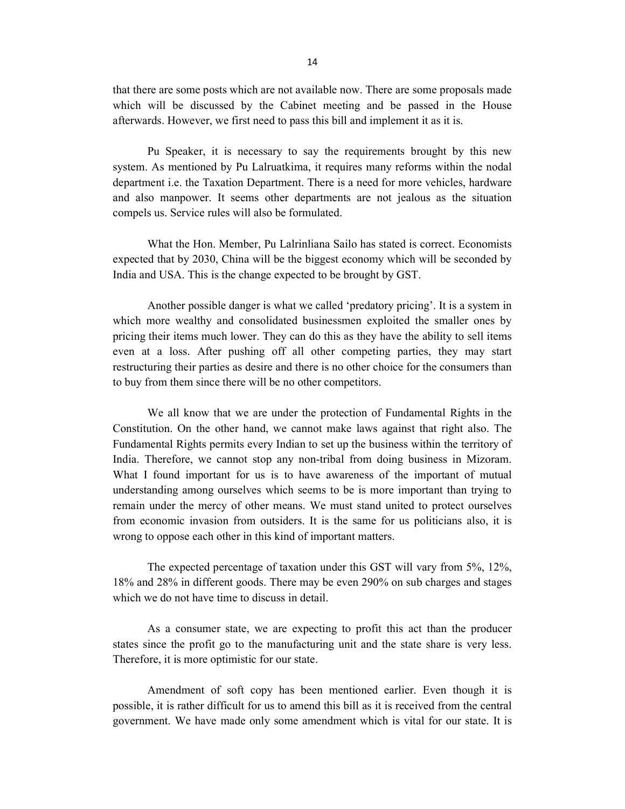that there are some posts which are not available now. There are some proposals made which will be discussed by the Cabinet meeting and be passed in the House afterwards. However, we first need to pass this bill and implement it as it is.

 Pu Speaker, it is necessary to say the requirements brought by this new system. As mentioned by Pu Lalruatkima, it requires many reforms within the nodal department i.e. the Taxation Department. There is a need for more vehicles, hardware and also manpower. It seems other departments are not jealous as the situation compels us. Service rules will also be formulated.

 What the Hon. Member, Pu Lalrinliana Sailo has stated is correct. Economists expected that by 2030, China will be the biggest economy which will be seconded by India and USA. This is the change expected to be brought by GST.

 Another possible danger is what we called 'predatory pricing'. It is a system in which more wealthy and consolidated businessmen exploited the smaller ones by pricing their items much lower. They can do this as they have the ability to sell items even at a loss. After pushing off all other competing parties, they may start restructuring their parties as desire and there is no other choice for the consumers than to buy from them since there will be no other competitors.

 We all know that we are under the protection of Fundamental Rights in the Constitution. On the other hand, we cannot make laws against that right also. The Fundamental Rights permits every Indian to set up the business within the territory of India. Therefore, we cannot stop any non-tribal from doing business in Mizoram. What I found important for us is to have awareness of the important of mutual understanding among ourselves which seems to be is more important than trying to remain under the mercy of other means. We must stand united to protect ourselves from economic invasion from outsiders. It is the same for us politicians also, it is wrong to oppose each other in this kind of important matters.

 The expected percentage of taxation under this GST will vary from 5%, 12%, 18% and 28% in different goods. There may be even 290% on sub charges and stages which we do not have time to discuss in detail.

 As a consumer state, we are expecting to profit this act than the producer states since the profit go to the manufacturing unit and the state share is very less. Therefore, it is more optimistic for our state.

 Amendment of soft copy has been mentioned earlier. Even though it is possible, it is rather difficult for us to amend this bill as it is received from the central government. We have made only some amendment which is vital for our state. It is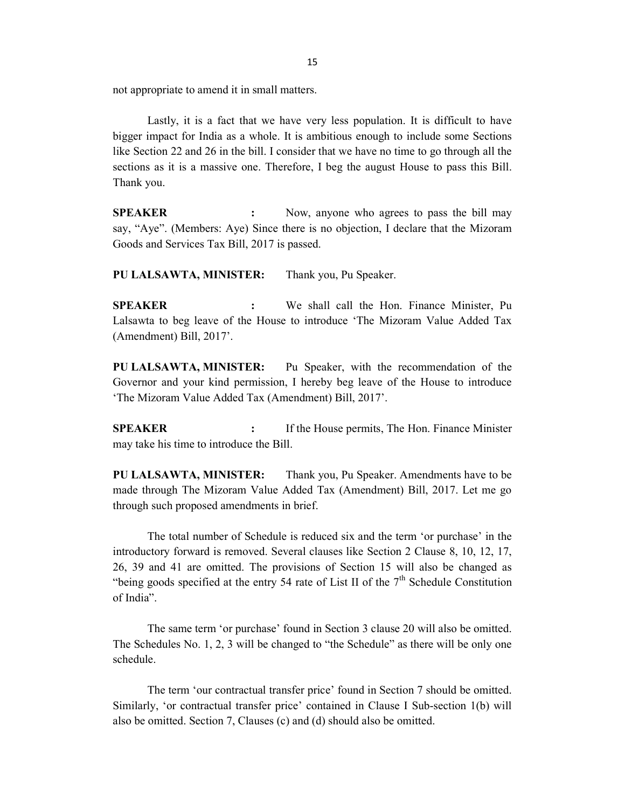not appropriate to amend it in small matters.

 Lastly, it is a fact that we have very less population. It is difficult to have bigger impact for India as a whole. It is ambitious enough to include some Sections like Section 22 and 26 in the bill. I consider that we have no time to go through all the sections as it is a massive one. Therefore, I beg the august House to pass this Bill. Thank you.

**SPEAKER** : Now, anyone who agrees to pass the bill may say, "Aye". (Members: Aye) Since there is no objection, I declare that the Mizoram Goods and Services Tax Bill, 2017 is passed.

PU LALSAWTA, MINISTER: Thank you, Pu Speaker.

SPEAKER : We shall call the Hon. Finance Minister, Pu Lalsawta to beg leave of the House to introduce 'The Mizoram Value Added Tax (Amendment) Bill, 2017'.

PU LALSAWTA, MINISTER: Pu Speaker, with the recommendation of the Governor and your kind permission, I hereby beg leave of the House to introduce 'The Mizoram Value Added Tax (Amendment) Bill, 2017'.

**SPEAKER** : If the House permits, The Hon. Finance Minister may take his time to introduce the Bill.

PU LALSAWTA, MINISTER: Thank you, Pu Speaker. Amendments have to be made through The Mizoram Value Added Tax (Amendment) Bill, 2017. Let me go through such proposed amendments in brief.

 The total number of Schedule is reduced six and the term 'or purchase' in the introductory forward is removed. Several clauses like Section 2 Clause 8, 10, 12, 17, 26, 39 and 41 are omitted. The provisions of Section 15 will also be changed as "being goods specified at the entry 54 rate of List II of the  $7<sup>th</sup>$  Schedule Constitution of India".

 The same term 'or purchase' found in Section 3 clause 20 will also be omitted. The Schedules No. 1, 2, 3 will be changed to "the Schedule" as there will be only one schedule.

 The term 'our contractual transfer price' found in Section 7 should be omitted. Similarly, 'or contractual transfer price' contained in Clause I Sub-section 1(b) will also be omitted. Section 7, Clauses (c) and (d) should also be omitted.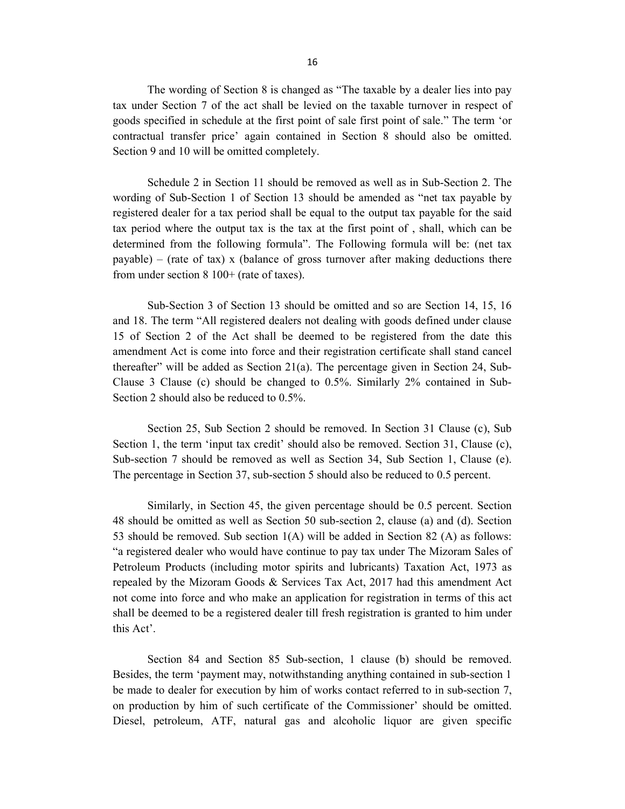The wording of Section 8 is changed as "The taxable by a dealer lies into pay tax under Section 7 of the act shall be levied on the taxable turnover in respect of goods specified in schedule at the first point of sale first point of sale." The term 'or contractual transfer price' again contained in Section 8 should also be omitted. Section 9 and 10 will be omitted completely.

 Schedule 2 in Section 11 should be removed as well as in Sub-Section 2. The wording of Sub-Section 1 of Section 13 should be amended as "net tax payable by registered dealer for a tax period shall be equal to the output tax payable for the said tax period where the output tax is the tax at the first point of , shall, which can be determined from the following formula". The Following formula will be: (net tax payable) – (rate of tax) x (balance of gross turnover after making deductions there from under section 8 100+ (rate of taxes).

 Sub-Section 3 of Section 13 should be omitted and so are Section 14, 15, 16 and 18. The term "All registered dealers not dealing with goods defined under clause 15 of Section 2 of the Act shall be deemed to be registered from the date this amendment Act is come into force and their registration certificate shall stand cancel thereafter" will be added as Section 21(a). The percentage given in Section 24, Sub-Clause 3 Clause (c) should be changed to 0.5%. Similarly 2% contained in Sub-Section 2 should also be reduced to 0.5%.

 Section 25, Sub Section 2 should be removed. In Section 31 Clause (c), Sub Section 1, the term 'input tax credit' should also be removed. Section 31, Clause (c), Sub-section 7 should be removed as well as Section 34, Sub Section 1, Clause (e). The percentage in Section 37, sub-section 5 should also be reduced to 0.5 percent.

 Similarly, in Section 45, the given percentage should be 0.5 percent. Section 48 should be omitted as well as Section 50 sub-section 2, clause (a) and (d). Section 53 should be removed. Sub section  $1(A)$  will be added in Section 82 (A) as follows: "a registered dealer who would have continue to pay tax under The Mizoram Sales of Petroleum Products (including motor spirits and lubricants) Taxation Act, 1973 as repealed by the Mizoram Goods & Services Tax Act, 2017 had this amendment Act not come into force and who make an application for registration in terms of this act shall be deemed to be a registered dealer till fresh registration is granted to him under this Act'.

 Section 84 and Section 85 Sub-section, 1 clause (b) should be removed. Besides, the term 'payment may, notwithstanding anything contained in sub-section 1 be made to dealer for execution by him of works contact referred to in sub-section 7, on production by him of such certificate of the Commissioner' should be omitted. Diesel, petroleum, ATF, natural gas and alcoholic liquor are given specific